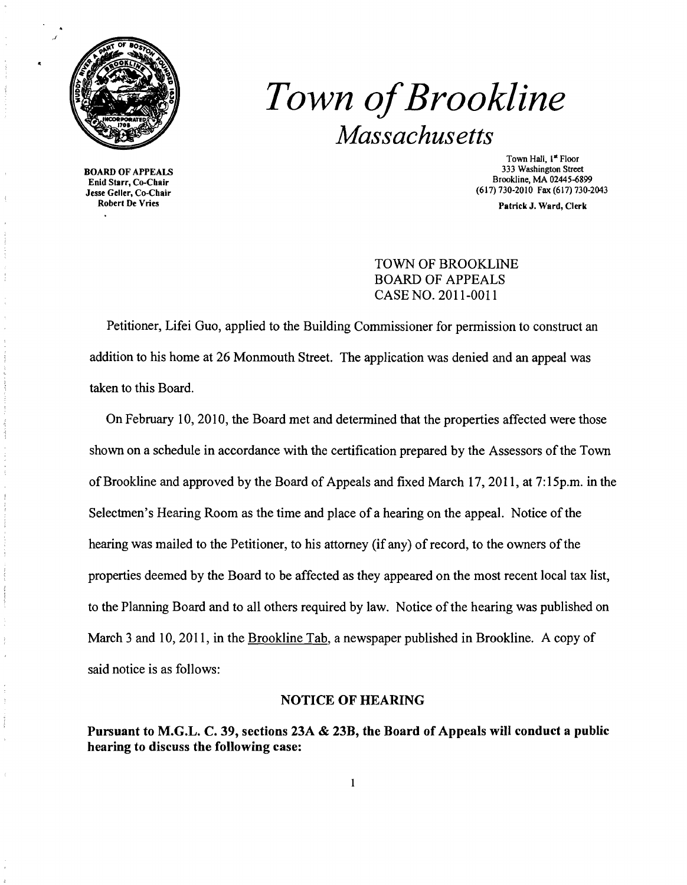

# *Town ofBrookline Massachusetts*

**BOARD OF APPEALS<br>Enid Starr, Co-Chair**  $\frac{1}{100}$  Fax (617) 730-2010 Fax (617) 730-2010 Fax (617) 730-2010 Fax (617) 730-2010 Fax (617) 730-2013<br>Robert De Vries<br>Robert De Vries

Town Hall, 1<sup>st</sup> Floor<br>333 Washington Street  $\frac{1}{2}$  Brookline, MA 02445-6899<br>  $\frac{1}{2}$  Brookline, MA 02445-6899<br>  $\frac{1}{2}$  Brookline, MA 02445-6899

Patrick J. Ward, Clerk

# TOWN OF BROOKLINE BOARD OF APPEALS CASE NO. 2011-0011

Petitioner, Lifei Guo, applied to the Building Commissioner for permission to construct an addition to his home at 26 Monmouth Street. The application was denied and an appeal was taken to this Board.

On February 10,2010, the Board met and determined that the properties affected were those shown on a schedule in accordance with the certification prepared by the Assessors ofthe Town of Brookline and approved by the Board of Appeals and fixed March 17, 2011, at 7: 15p.m. in the Selectmen's Hearing Room as the time and place of a hearing on the appeal. Notice of the hearing was mailed to the Petitioner, to his attorney (if any) of record, to the owners of the properties deemed by the Board to be affected as they appeared on the most recent local tax list, to the Planning Board and to all others required by law. Notice of the hearing was published on March 3 and 10,2011, in the Brookline Tab, a newspaper published in Brookline. A copy of said notice is as follows:

#### NOTICE OF HEARING

Pursuant to M.G.L. C. 39, sections 23A & 23B, the Board of Appeals will conduct a public hearing to discuss the following case: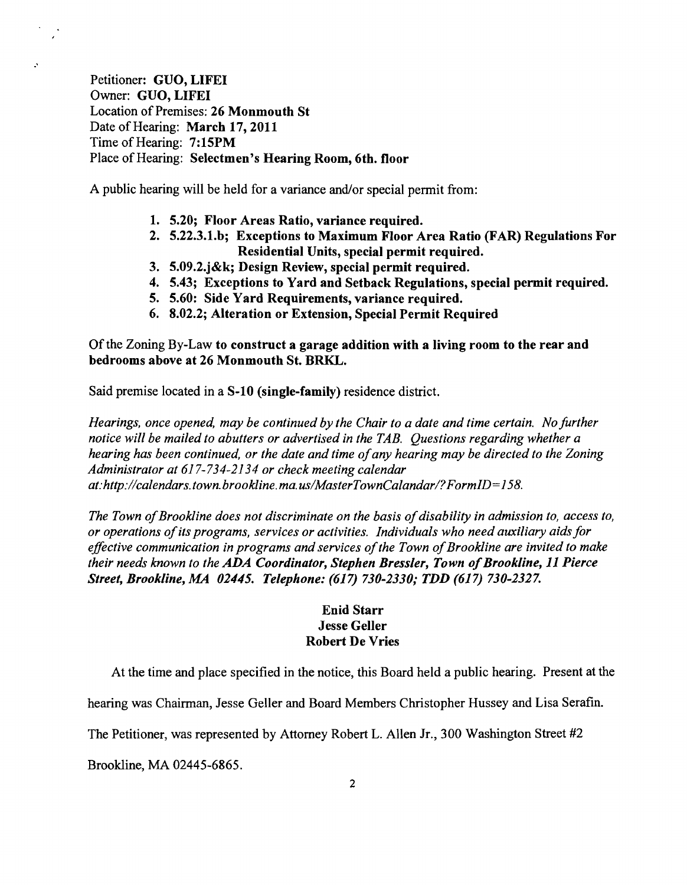Petitioner: GUO, LIFEI Owner: GUO, LIFEI Location of Premises: 26 Monmouth St Date of Hearing: March 17, 2011 Time of Hearing: 7:15PM Place of Hearing: Selectmen's Hearing Room, 6th. floor

.'

A public hearing will be held for a variance and/or special permit from:

- 1. 5.20; Floor Areas Ratio, variance required.
- 2. 5.22.3.1.b; Exceptions to Maximum Floor Area Ratio (FAR) Regulations For Residential Units, special permit required.
- 3. 5.09.2.j&k; Design Review, special permit required.
- 4. 5.43; Exceptions to Yard and Setback Regulations, special permit required.
- 5. 5.60: Side Yard Requirements, variance required.
- 6. 8.02.2; Alteration or Extension, Special Permit Required

Of the Zoning By-Law to construct a garage addition with a living room to the rear and bedrooms above at 26 Monmouth St. BRKL.

Said premise located in a S-10 (single-family) residence district.

*Hearings, once opened, may be continued by the Chair to a date and time certain. No further notice will be mailed to abutters or advertised in the TAB. Questions regarding whether a hearing has been continued, or the date and time ofany hearing may be directed to the Zoning Administrator at* 617-734-2134 *or check meeting calendar at:http://calendars.town.brookline.ma.usIMasterTownCalandarl?FormID=158.* 

*The Town of Brookline does not discriminate on the basis of disability in admission to, access to, or operations ofits programs, services or activities. Individuals who need auxiliary aidsfor effective communication in programs and services of the Town of Brookline are invited to make their needs known to the ADA Coordinator, Stephen Bressler, Town of Brookline, 11 Pierce Street, Brookline, MA 02445. Telephone:* (617) *730-2330; TDD* (617) *730-2327.* 

## Enid Starr Jesse Geller Robert De Vries

At the time and place specified in the notice, this Board held a public hearing. Present at the

hearing was Chairman, Jesse Geller and Board Members Christopher Hussey and Lisa Serafin.

The Petitioner, was represented by Attorney Robert L. Allen Jr., 300 Washington Street #2

Brookline, MA 02445-6865.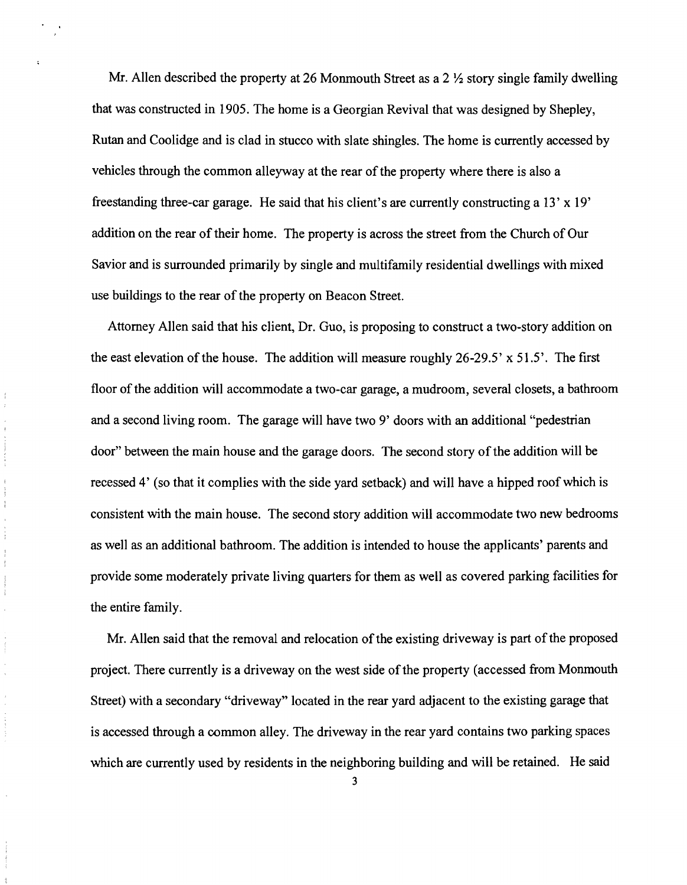Mr. Allen described the property at 26 Monmouth Street as a  $2 \frac{1}{2}$  story single family dwelling that was constructed in 1905. The home is a Georgian Revival that was designed by Shepley, Rutan and Coolidge and is clad in stucco with slate shingles. The home is currently accessed by vehicles through the common alleyway at the rear of the property where there is also a freestanding three-car garage. He said that his client's are currently constructing a 13' x 19' addition on the rear of their home. The property is across the street from the Church of Our Savior and is surrounded primarily by single and multifamily residential dwellings with mixed use buildings to the rear of the property on Beacon Street.

Attorney Allen said that his client, Dr. Guo, is proposing to construct a two-story addition on the east elevation of the house. The addition will measure roughly 26-29.5' x 51.5'. The first floor of the addition will accommodate a two-car garage, a mudroom, several closets, a bathroom and a second living room. The garage will have two 9' doors with an additional "pedestrian door" between the main house and the garage doors. The second story ofthe addition will be recessed 4' (so that it complies with the side yard setback) and will have a hipped roof which is consistent with the main house. The second story addition will accommodate two new bedrooms as well as an additional bathroom. The addition is intended to house the applicants' parents and provide some moderately private living quarters for them as well as covered parking facilities for the entire family.

 $\label{eq:1} \begin{split} \mathcal{L}_{\mathcal{A}}(\mathcal{A}) & = \mathcal{L}_{\mathcal{A}}(\mathcal{A}) \mathcal{L}_{\mathcal{A}}(\mathcal{A}) + \mathcal{L}_{\mathcal{A}}(\mathcal{A}) \mathcal{L}_{\mathcal{A}}(\mathcal{A}) \\ & = \mathcal{L}_{\mathcal{A}}(\mathcal{A}) \mathcal{L}_{\mathcal{A}}(\mathcal{A}) + \mathcal{L}_{\mathcal{A}}(\mathcal{A}) \mathcal{L}_{\mathcal{A}}(\mathcal{A}) + \mathcal{L}_{\mathcal{A}}(\mathcal{A}) \mathcal{L}_{\mathcal{A}}(\mathcal{A}) \math$ 

 $\frac{1}{4}$ 

 $\frac{1}{2} \left( \frac{1}{2} \right) \left( \frac{1}{2} \right)$ 

 $\label{eq:1} \frac{1}{2} \int_{\mathbb{R}^3} \frac{1}{2} \left( \frac{1}{2} \int_{\mathbb{R}^3} \frac{1}{2} \left( \frac{1}{2} \int_{\mathbb{R}^3} \frac{1}{2} \right) \frac{1}{2} \right) \, d\mu$ 

 $\bar{\mathbf{y}}$ 

 $\bar{\epsilon}$ 

Mr. Allen said that the removal and relocation of the existing driveway is part of the proposed project. There currently is a driveway on the west side of the property (accessed from Monmouth Street) with a secondary "driveway" located in the rear yard adjacent to the existing garage that is accessed through a common alley. The driveway in the rear yard contains two parking spaces which are currently used by residents in the neighboring building and will be retained. He said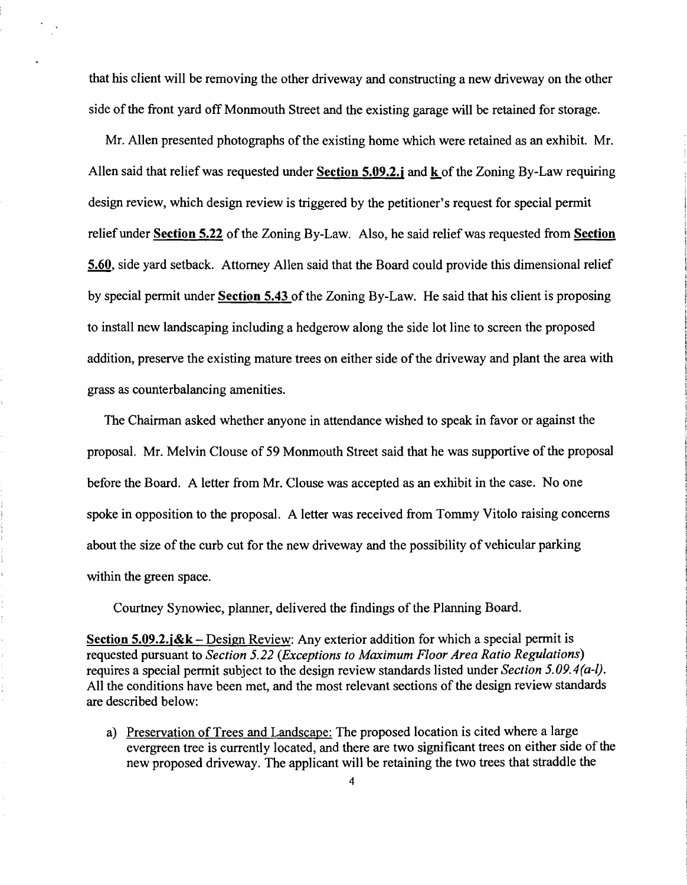that his client will be removing the other driveway and constructing a new driveway on the other side of the front yard off Monmouth Street and the existing garage will be retained for storage.

Mr. Allen presented photographs of the existing home which were retained as an exhibit. Mr. Allen said that relief was requested under Section 5.09.2.j and **k** ofthe Zoning By-Law requiring design review, which design review is triggered by the petitioner's request for special permit relief under Section 5.22 of the Zoning By-Law. Also, he said relief was requested from Section 5.60, side yard setback. Attorney Allen said that the Board could provide this dimensional relief by special permit under Section 5.43 of the Zoning By-Law. He said that his client is proposing to install new landscaping including a hedgerow along the side lot line to screen the proposed addition, preserve the existing mature trees on either side of the driveway and plant the area with grass as counterbalancing amenities.

The Chairman asked whether anyone in attendance wished to speak in favor or against the proposal. Mr. Melvin Clouse of 59 Monmouth Street said that he was supportive of the proposal before the Board. A letter from Mr. Clouse was accepted as an exhibit in the case. No one spoke in opposition to the proposal. A letter was received from Tommy Vitolo raising concerns about the size of the curb cut for the new driveway and the possibility of vehicular parking within the green space.

Courtney Synowiec, planner, delivered the findings of the Planning Board.

Section 5.09.2.j&k – Design Review: Any exterior addition for which a special permit is requested pursuant to *Section* 5.22 *(Exceptions to Maximum Floor Area Ratio Regulations)*  requires a special permit subject to the design review standards listed under *Section 5.09.4(a-I).*  All the conditions have been met, and the most relevant sections of the design review standards are described below:

a) Preservation of Trees and Landscape: The proposed location is cited where a large evergreen tree is currently located, and there are two significant trees on either side of the new proposed driveway. The applicant will be retaining the two trees that straddle the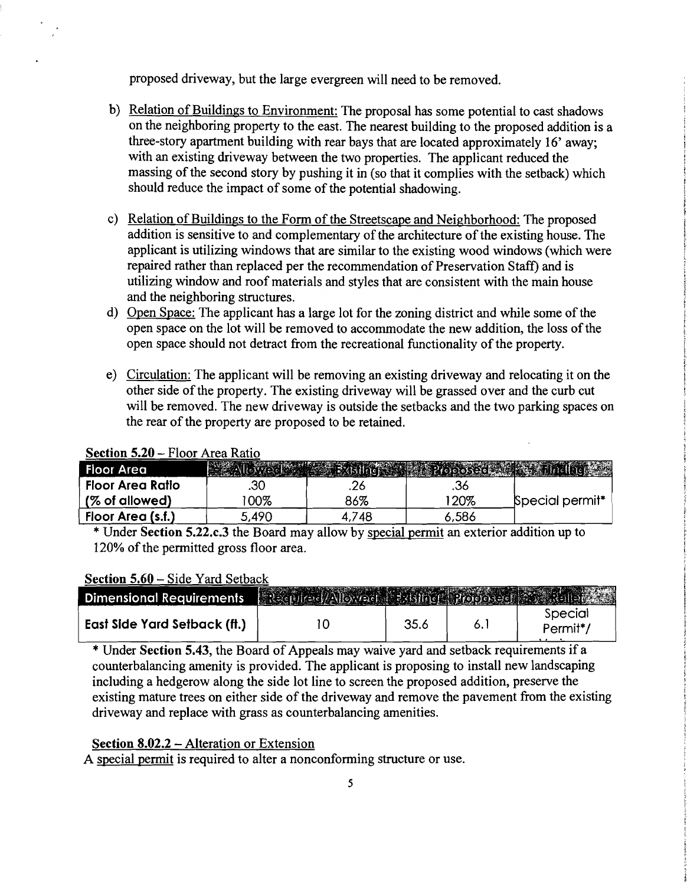proposed driveway, but the large evergreen will need to be removed.

- b) Relation of Buildings to Environment: The proposal has some potential to cast shadows on the neighboring property to the east. The nearest building to the proposed addition is a three-story apartment building with rear bays that are located approximately 16' away; with an existing driveway between the two properties. The applicant reduced the massing of the second story by pushing it in (so that it complies with the setback) which should reduce the impact of some of the potential shadowing.
- c) Relation of Buildings to the Form of the Streetscape and Neighborhood: The proposed addition is sensitive to and complementary of the architecture of the existing house. The applicant is utilizing windows that are similar to the existing wood windows (which were repaired rather than replaced per the recommendation of Preservation Staff) and is utilizing window and roof materials and styles that are consistent with the main house and the neighboring structures.
- d) Open Space: The applicant has a large lot for the zoning district and while some of the open space on the lot will be removed to accommodate the new addition, the loss of the open space should not detract from the recreational functionality of the property.
- e) Circulation: The applicant will be removing an existing driveway and relocating it on the other side of the property. The existing driveway will be grassed over and the curb cut will be removed. The new driveway is outside the setbacks and the two parking spaces on the rear of the property are proposed to be retained.

| Floor Area        |        |     |       |                             |  |  |  |
|-------------------|--------|-----|-------|-----------------------------|--|--|--|
| Floor Area Ratio  | .30    |     |       |                             |  |  |  |
| (% of allowed)    | 00%    | 86% | 20%   | Special permit <sup>*</sup> |  |  |  |
| Floor Area (s.f.) | 490. ز | 748 | 5,586 |                             |  |  |  |

### Section 5.20 - Floor Area Ratio

\* Under Section 5.22.c.3 the Board may allow by special permit an exterior addition up to 120% of the permitted gross floor area.

#### Section 5.60 - Side Yard Setback

| Dimensional Requirements            | Required/Allowed Bobling Proposed Standard |      |                                  |
|-------------------------------------|--------------------------------------------|------|----------------------------------|
| <b>East Side Yard Setback (ft.)</b> |                                            | 35.6 | Special<br>Permit <sup>*</sup> / |

\* Under Section 5.43, the Board of Appeals may waive yard and setback requirements if a counterbalancing amenity is provided. The applicant is proposing to install new landscaping including a hedgerow along the side lot line to screen the proposed addition, preserve the existing mature trees on either side of the driveway and remove the pavement from the existing driveway and replace with grass as counterbalancing amenities.

#### Section 8.02.2 – Alteration or Extension

A special permit is required to alter a nonconforming structure or use.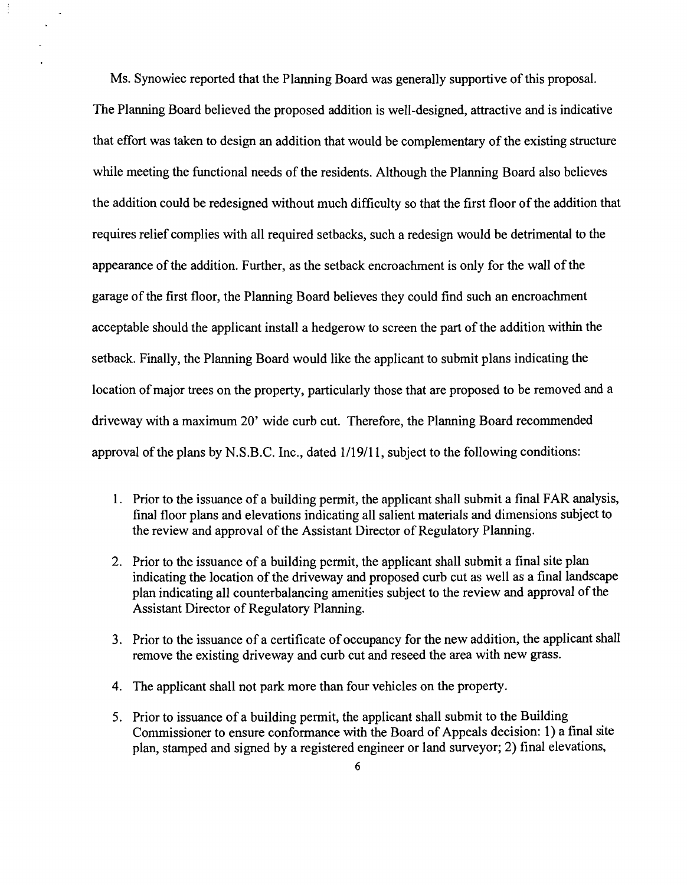Ms. Synowiec reported that the Planning Board was generally supportive of this proposal. The Planning Board believed the proposed addition is well-designed, attractive and is indicative that effort was taken to design an addition that would be complementary of the existing structure while meeting the functional needs of the residents. Although the Planning Board also believes the addition could be redesigned without much difficulty so that the first floor of the addition that requires relief complies with all required setbacks, such a redesign would be detrimental to the appearance of the addition. Further, as the setback encroachment is only for the wall of the garage of the first floor, the Planning Board believes they could find such an encroachment acceptable should the applicant install a hedgerow to screen the part of the addition within the setback. Finally, the Planning Board would like the applicant to submit plans indicating the location of major trees on the property, particularly those that are proposed to be removed and a driveway with a maximum 20' wide curb cut. Therefore, the Planning Board recommended approval of the plans by N.S.B.C. Inc., dated  $1/19/11$ , subject to the following conditions:

- 1. Prior to the issuance of a building permit, the applicant shall submit a final FAR analysis, final floor plans and elevations indicating all salient materials and dimensions subject to the review and approval of the Assistant Director of Regulatory Planning.
- 2. Prior to the issuance of a building permit, the applicant shall submit a final site plan indicating the location of the driveway and proposed curb cut as well as a final landscape plan indicating all counterbalancing amenities subject to the review and approval of the Assistant Director of Regulatory Planning.
- 3. Prior to the issuance of a certificate of occupancy for the new addition, the applicant shall remove the existing driveway and curb cut and reseed the area with new grass.
- 4. The applicant shall not park more than four vehicles on the property.
- 5. Prior to issuance of a building permit, the applicant shall submit to the Building Commissioner to ensure conformance with the Board of Appeals decision: 1) a final site plan, stamped and signed by a registered engineer or land surveyor; 2) final elevations,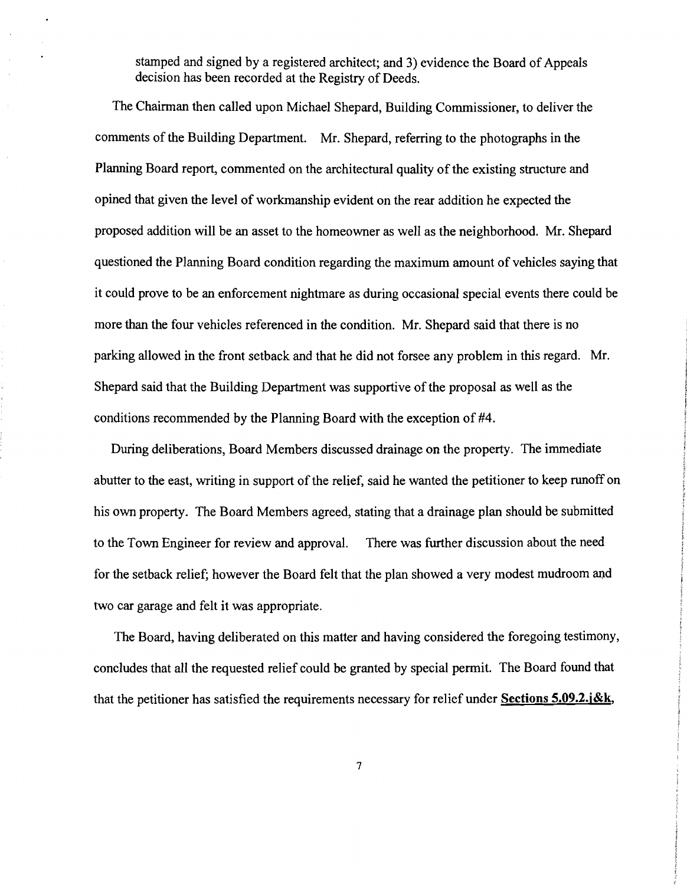stamped and signed by a registered architect; and 3) evidence the Board of Appeals decision has been recorded at the Registry of Deeds.

The Chairman then called upon Michael Shepard, Building Commissioner, to deliver the comments of the Building Department. Mr. Shepard, referring to the photographs in the Planning Board report, commented on the architectural quality of the existing structure and opined that given the level of workmanship evident on the rear addition he expected the proposed addition will be an asset to the homeowner as well as the neighborhood. Mr. Shepard questioned the Planning Board condition regarding the maximum amount of vehicles saying that it could prove to be an enforcement nightmare as during occasional special events there could be more than the four vehicles referenced in the condition. Mr. Shepard said that there is no parking allowed in the front setback and that he did not forsee any problem in this regard. Mr. Shepard said that the Building Department was supportive of the proposal as well as the conditions recommended by the Planning Board with the exception of #4.

During deliberations, Board Members discussed drainage on the property. The immediate abutter to the east, writing in support of the relief, said he wanted the petitioner to keep runoff on his own property. The Board Members agreed, stating that a drainage plan should be submitted to the Town Engineer for review and approval. There was further discussion about the need for the setback relief; however the Board felt that the plan showed a very modest mudroom and two car garage and felt it was appropriate.

The Board, having deliberated on this matter and having considered the foregoing testimony, concludes that all the requested relief could be granted by special permit. The Board found that that the petitioner has satisfied the requirements necessary for relief under **Sections 5.09.2.j&k,**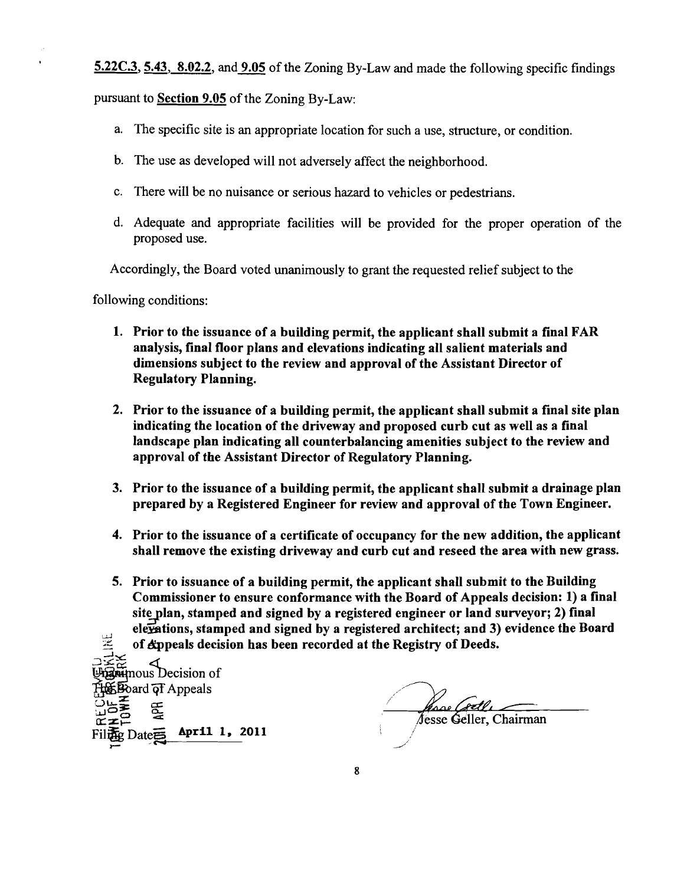5.22C.3, 5.43, 8.02.2, and 9.05 of the Zoning By-Law and made the following specific findings

pursuant to Section 9.05 of the Zoning By-Law:

- a. The specific site is an appropriate location for such a use, structure, or condition.
- b. The use as developed will not adversely affect the neighborhood.
- c. There will be no nuisance or serious hazard to vehicles or pedestrians.
- d. Adequate and appropriate facilities will be provided for the proper operation of the proposed use.

Accordingly, the Board voted unanimously to grant the requested relief subject to the

following conditions:

- 1. Prior to the issuance of a building permit, the applicant shall submit a final FAR analysis, final floor plans and elevations indicating all salient materials and dimensions subject to the review and approval of the Assistant Director of Regulatory Planning.
- 2. Prior to the issuance of a building permit, the applicant shall submit a final site plan indicating the location of the driveway and proposed curb cut as well as a final landscape plan indicating all counterbalancing amenities subject to the review and approval of the Assistant Director of Regulatory Planning.
- 3. Prior to the issuance of a building permit, the applicant shall submit a drainage plan prepared by a Registered Engineer for review and approval of the Town Engineer.
- 4. Prior to the issuance of a certificate of occupancy for the new addition, the applicant shall remove the existing driveway and curb cut and reseed the area with new grass.
- 5. Prior to issuance of a building permit, the applicant shall submit to the Building Commissioner to ensure conformance with the Board of Appeals decision: 1) a final site plan, stamped and signed by a registered engineer or land surveyor; 2) final elexations, stamped and signed by a registered architect; and 3) evidence the Board .u. of Appeals decision has been recorded at the Registry of Deeds.

 $\overline{\phantom{a}}$ 그≍≿  $\mathbf{\hat{u}}$  mous Decision of  $\overline{\text{4}}$  and  $\overline{\text{4}}$  Appeals  $\mathfrak{F}$  $c \neq$ April 1, 2011  $Date \equiv$ 

hsse ( Jesse Geller, Chairman